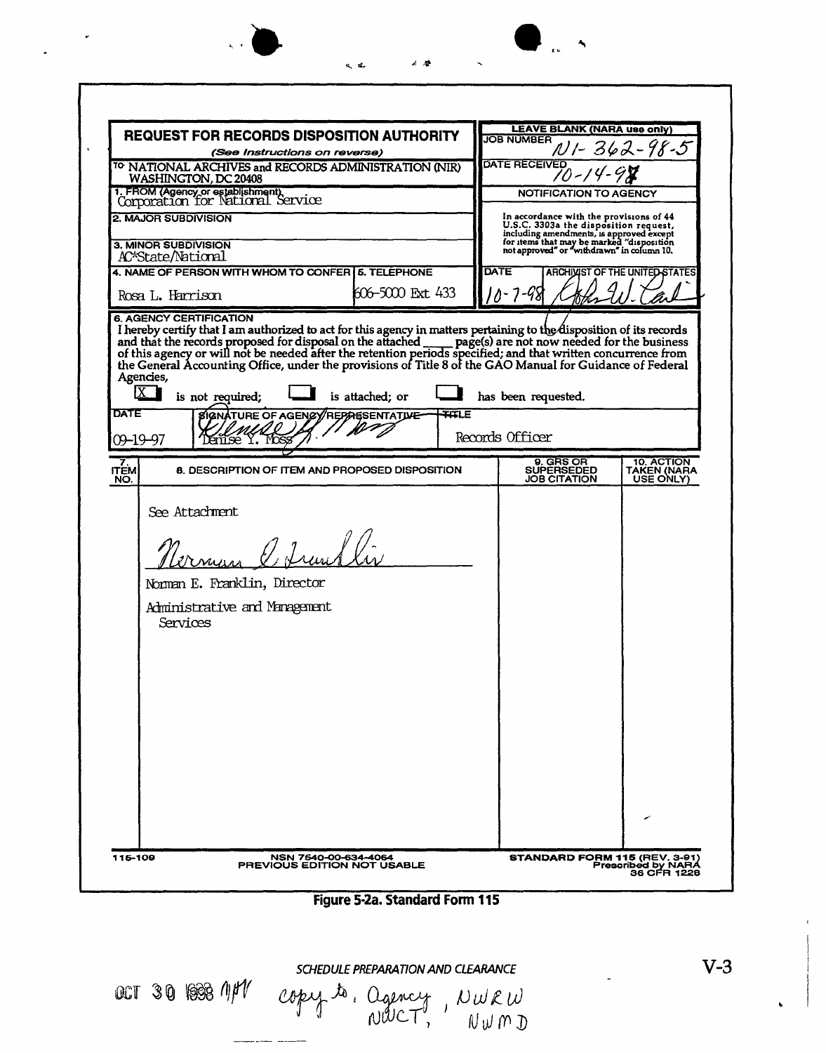| <b>REQUEST FOR RECORDS DISPOSITION AUTHORITY</b>                                           |                                                       |    | <b>LEAVE BLANK (NARA use only)</b><br><b>JOB NUMBER</b>                                                                             |                                        |
|--------------------------------------------------------------------------------------------|-------------------------------------------------------|----|-------------------------------------------------------------------------------------------------------------------------------------|----------------------------------------|
|                                                                                            | (See Instructions on reverse)                         |    | <b>DATE RECEIVED</b>                                                                                                                | NI-362-98-5                            |
| <sup>10</sup> NATIONAL ARCHIVES and RECORDS ADMINISTRATION (NIR)<br>WASHINGTON, DC 20408   |                                                       |    |                                                                                                                                     |                                        |
| 1. FROM (Agency or establishment),<br>Corporation for National Service                     |                                                       |    | NOTIFICATION TO AGENCY                                                                                                              |                                        |
| 2. MAJOR SUBDIVISION                                                                       |                                                       |    | In accordance with the provisions of 44<br>U.S.C. 3303a the disposition request,                                                    |                                        |
| 3. MINOR SUBDIVISION<br>AC*State/National                                                  |                                                       |    | including amendments, is approved except<br>for items that may be marked "disposition<br>not approved" or "withdrawn" in column 10. |                                        |
| 4. NAME OF PERSON WITH WHOM TO CONFER 5. TELEPHONE                                         |                                                       |    | DATE                                                                                                                                | <b>ARCHIVIST OF THE UNITED-STATES</b>  |
| Rosa L. Harrison                                                                           | 606–5000 Ext. 433                                     |    | $10 - 7 - 98$                                                                                                                       |                                        |
| IX I<br>is not required;<br>DATE<br>09-19-97<br>Tenísé Y. Toss                             | is attached; or<br>SIGNATURE OF AGENCY/REPASSENTATIVE | 地正 | has been requested.<br>Records Officer                                                                                              |                                        |
| 7.<br><b>ITEM</b><br>NO.                                                                   | 8. DESCRIPTION OF ITEM AND PROPOSED DISPOSITION       |    | 9. GRS OR<br><b>SUPERSEDED</b><br><b>JOB CITATION</b>                                                                               | 10. ACTION<br>TAKEN (NARA<br>USE ONLY) |
| See Attachment<br>Noman E. Franklin, Director<br>Administrative and Management<br>Services | James L.                                              |    |                                                                                                                                     |                                        |
|                                                                                            |                                                       |    |                                                                                                                                     |                                        |

 $V-3$ 

NWML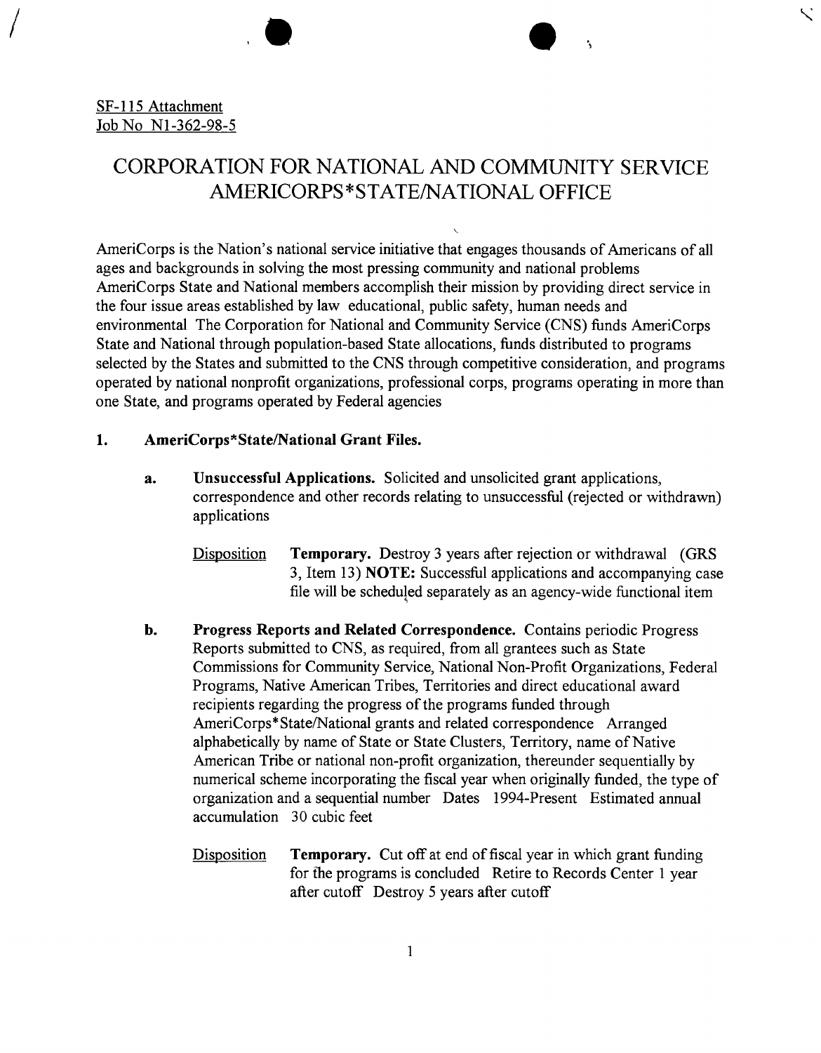# CORPORATION FOR NATIONAL AND COMMUNITY SERVICE AMERICORPS\*STATE/NATIONAL OFFICE

**NWMX** 

AmeriCorps is the Nation's national service initiative that engages thousands of Americans of all ages and backgrounds in solving the most pressing community and national problems AmeriCorps State and National members accomplish their mission by providing direct service in the four issue areas established by law educational, public safety, human needs and environmental The Corporation for National and Community Service (CNS) funds AmeriCorps State and National through population-based State allocations, funds distributed to programs selected by the States and submitted to the CNS through competitive consideration, and programs operated by national nonprofit organizations, professional corps, programs operating in more than one State, and programs operated by Federal agencies

## 1. AmeriCorps\*State/National Grant Files.

 $\bullet$  **.** 

- a. Unsuccessful Applications. Solicited and unsolicited grant applications, correspondence and other records relating to unsuccessful (rejected or withdrawn) applications
	- Disposition Temporary. Destroy 3 years after rejection or withdrawal (GRS 3, Item 13) NOTE: Successful applications and accompanying case file will be scheduled separately as an agency-wide functional item
- b. Progress Reports and Related Correspondence. Contains periodic Progress Reports submitted to CNS, as required, from all grantees such as State Commissions for Community Service, National Non-Profit Organizations, Federal Programs, Native American Tribes, Territories and direct educational award recipients regarding the progress of the programs funded through AmeriCorps\*State/National grants and related correspondence Arranged alphabetically by name of State or State Clusters, Territory, name of Native American Tribe or national non-profit organization, thereunder sequentially by numerical scheme incorporating the fiscal year when originally funded, the type of organization and a sequential number Dates 1994-Present Estimated annual accumulation 30 cubic feet
	- Disposition **Temporary.** Cut off at end of fiscal year in which grant funding for the programs is concluded Retire to Records Center 1 year after cutoff Destroy 5 years after cutoff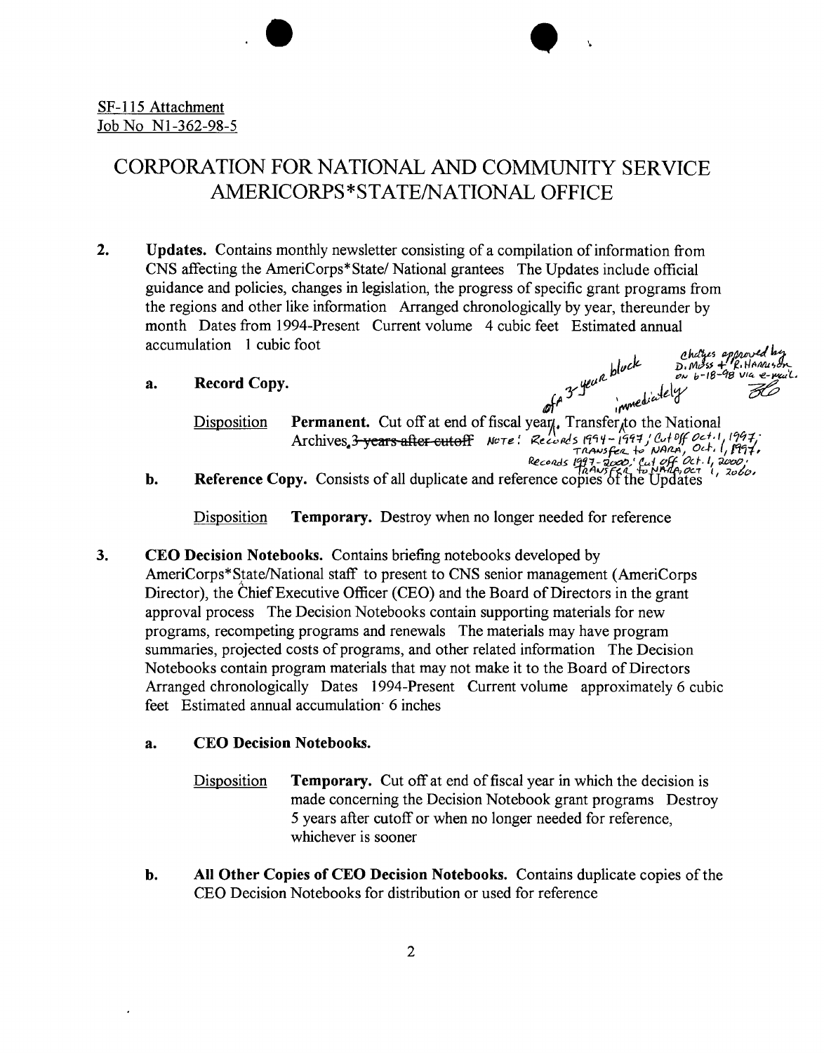## CORPORATION FOR NATIONAL AND COMMUNITY SERVICE AMERICORPS\*STATE/NATIONAL OFFICE

 $\bullet$ 

•

2. Updates. Contains monthly newsletter consisting of a compilation of information from CNS affecting the AmeriCorps\*State/ National grantees The Updates include official guidance and policies, changes in legislation, the progress of specific grant programs from the regions and other like information Arranged chronologically by year, thereunder by month Dates from 1994-Present Current volume 4 cubic feet Estimated annual accumulation 1 cubic foot a *pluck*<br>a bluck b. moss + R. Hannuson<br>a bluck b b-18-98 via e-mail.

- a. Record Copy.  $\omega h^3 y^{\mu \mu}$  in the lately **Disposition** Permanent. Cut off at end of fiscal year. Transfer to the National *A*rchives 3 years after cutoff Note: Records 1994 - 1994 *1 Cut off Oct 1, 1994*<br>م†196, Oct، I, P19 i decords 1997-2000; Cut off Oct. 1, 2000;<br>**b.** Reference Copy. Consists of all duplicate and reference copies of the Updates
	-

Disposition **Temporary.** Destroy when no longer needed for reference

## 3. CEO Decision Notebooks. Contains briefing notebooks developed by

AmeriCorps\*State/National staff to present to CNS senior management (AmeriCorps Director), the Chief Executive Officer (CEO) and the Board of Directors in the grant approval process The Decision Notebooks contain supporting materials for new programs, recompeting programs and renewals The materials may have program summaries, projected costs of programs, and other related information The Decision Notebooks contain program materials that may not make it to the Board of Directors Arranged chronologically Dates 1994-Present Current volume approximately 6 cubic feet Estimated annual accumulation' 6 inches

### a. CEO Decision Notebooks.

- Disposition **Temporary.** Cut off at end of fiscal year in which the decision is made concerning the Decision Notebook grant programs Destroy 5 years after cutoff or when no longer needed for reference, whichever is sooner
- b. All Other Copies of CEO Decision Notebooks. Contains duplicate copies of the CEO Decision Notebooks for distribution or used for reference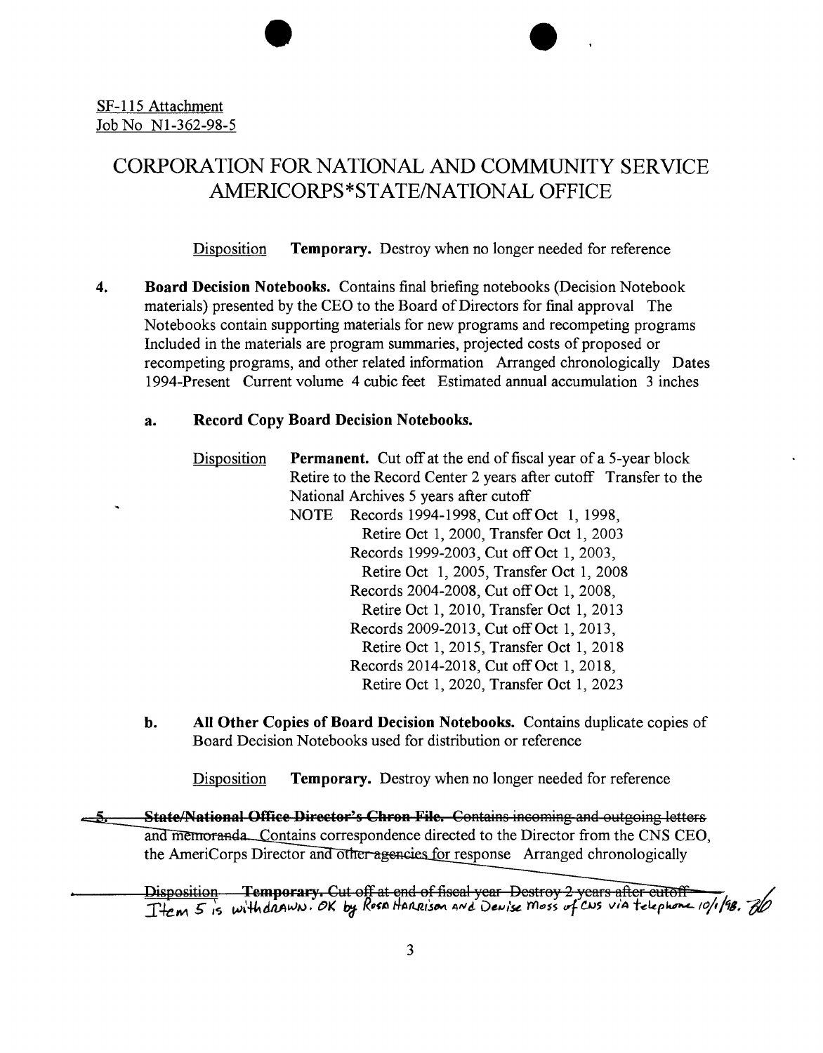## CORPORATION FOR NATIONAL AND COMMUNITY SERVICE AMERICORPS\*STATE/NATIONAL OFFICE

 $\bullet$ 

NWML

Disposition **Temporary.** Destroy when no longer needed for reference

4. Board Decision Notebooks. Contains final briefing notebooks (Decision Notebook materials) presented by the CEO to the Board of Directors for final approval The Notebooks contain supporting materials for new programs and recompeting programs Included in the materials are program summaries, projected costs of proposed or recompeting programs, and other related information Arranged chronologically Dates 1994-Present Current volume 4 cubic feet Estimated annual accumulation 3 inches

#### a. Record Copy Board Decision Notebooks.

| Disposition |                                                                  | <b>Permanent.</b> Cut off at the end of fiscal year of a 5-year block |  |  |  |
|-------------|------------------------------------------------------------------|-----------------------------------------------------------------------|--|--|--|
|             | Retire to the Record Center 2 years after cutoff Transfer to the |                                                                       |  |  |  |
|             |                                                                  | National Archives 5 years after cutoff                                |  |  |  |
|             | <b>NOTE</b>                                                      | Records 1994-1998, Cut off Oct 1, 1998,                               |  |  |  |
|             |                                                                  | Retire Oct 1, 2000, Transfer Oct 1, 2003                              |  |  |  |
|             |                                                                  | Records 1999-2003, Cut off Oct 1, 2003,                               |  |  |  |
|             |                                                                  | Retire Oct 1, 2005, Transfer Oct 1, 2008                              |  |  |  |
|             |                                                                  | Records 2004-2008, Cut off Oct 1, 2008,                               |  |  |  |
|             |                                                                  | Retire Oct 1, 2010, Transfer Oct 1, 2013                              |  |  |  |
|             |                                                                  | Records 2009-2013, Cut off Oct 1, 2013,                               |  |  |  |
|             |                                                                  | Retire Oct 1, 2015, Transfer Oct 1, 2018                              |  |  |  |
|             |                                                                  | Records 2014-2018, Cut off Oct 1, 2018,                               |  |  |  |
|             |                                                                  | Retire Oct 1, 2020, Transfer Oct 1, 2023                              |  |  |  |

b. All Other Copies of Board Decision Notebooks. Contains duplicate copies of Board Decision Notebooks used for distribution or reference

Disposition **Temporary.** Destroy when no longer needed for reference

**State/National Office Director's Chron File.** Contains incoming and outgoing letters and memoranda. Contains correspondence directed to the Director from the CNS CEO, the AmeriCorps Director and other agencies for response Arranged chronologically

Disposition Temporary. Cut off at end of fiseal year Destroy 2 years after eutoff<br>Ttem 5 is withdrawn. OK by Rose Hanrison and Dewise Moss of CNS via telephone 10/1/98. FO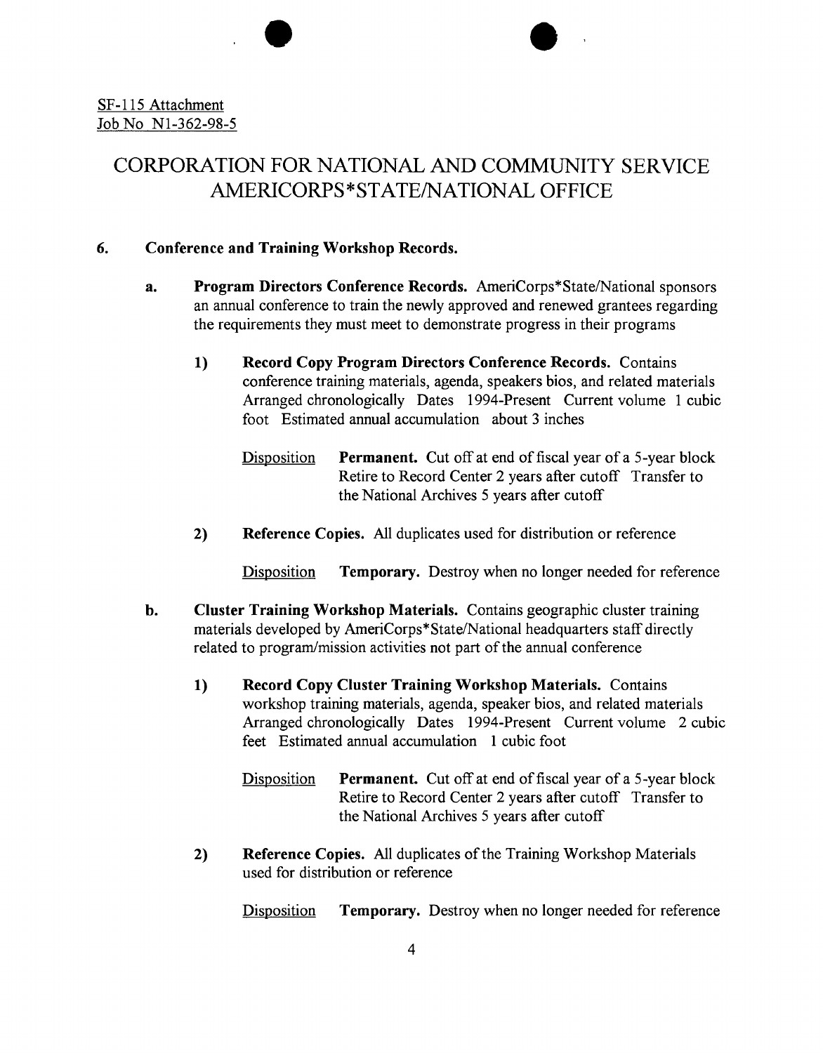## CORPORATION FOR NATIONAL AND COMMUNITY SERVICE AMERICORPS\*STATE/NATIONAL OFFICE

 $\bullet$ 

#### 6. Conference and Training Workshop Records.

- a. Program Directors Conference Records. AmeriCorps\*State/National sponsors an annual conference to train the newly approved and renewed grantees regarding the requirements they must meet to demonstrate progress in their programs
	- 1) Record Copy Program Directors Conference Records. Contains conference training materials, agenda, speakers bios, and related materials Arranged chronologically Dates 1994-Present Current volume 1 cubic foot Estimated annual accumulation about 3 inches
		- Disposition Permanent. Cut off at end of fiscal year of a 5-year block Retire to Record Center 2 years after cutoff Transfer to the National Archives 5 years after cutoff
	- 2) Reference Copies. All duplicates used for distribution or reference

Disposition **Temporary.** Destroy when no longer needed for reference

- b. Cluster Training Workshop Materials. Contains geographic cluster training materials developed by AmeriCorps\*State/National headquarters staff directly related to program/mission activities not part of the annual conference
	- 1) Record Copy Cluster Training Workshop Materials. Contains workshop training materials, agenda, speaker bios, and related materials Arranged chronologically Dates 1994-Present Current volume 2 cubic feet Estimated annual accumulation 1 cubic foot

Disposition **Permanent.** Cut off at end of fiscal year of a 5-year block Retire to Record Center 2 years after cutoff Transfer to the National Archives 5 years after cutoff

2) Reference Copies. All duplicates of the Training Workshop Materials used for distribution or reference

Disposition **Temporary.** Destroy when no longer needed for reference